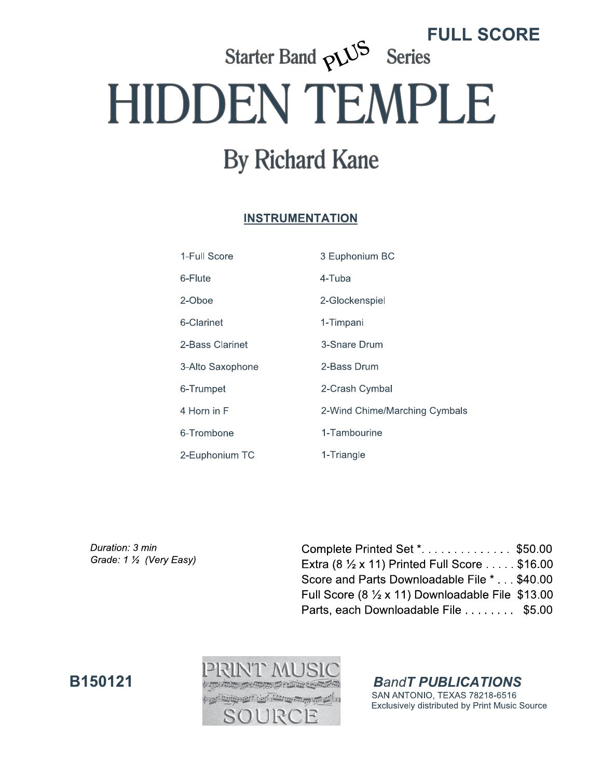# **FULL SCORE** Starter Band p U<sup>S</sup> Series HIDDEN TEMPLE **By Richard Kane**

#### **INSTRUMENTATION**

| 1-Full Score     | 3 Euphonium BC                |
|------------------|-------------------------------|
| 6-Flute          | 4-Tuba                        |
| 2-Oboe           | 2-Glockenspiel                |
| 6-Clarinet       | 1-Timpani                     |
| 2-Bass Clarinet  | 3-Snare Drum                  |
| 3-Alto Saxophone | 2-Bass Drum                   |
| 6-Trumpet        | 2-Crash Cymbal                |
| 4 Horn in F      | 2-Wind Chime/Marching Cymbals |
| 6-Trombone       | 1-Tambourine                  |
| 2-Euphonium TC   | 1-Triangle                    |

Duration: 3 min Grade: 1 1/2 (Very Easy) Complete Printed Set \*..............\$50.00 Extra  $(8 \frac{1}{2} \times 11)$  Printed Full Score ... \$16.00 Score and Parts Downloadable File \* . \$40.00 Full Score (8  $\frac{1}{2}$  x 11) Downloadable File \$13.00 Parts, each Downloadable File . . . . . . . \$5.00

**B150121** 



**BandT PUBLICATIONS** SAN ANTONIO, TEXAS 78218-6516 Exclusively distributed by Print Music Source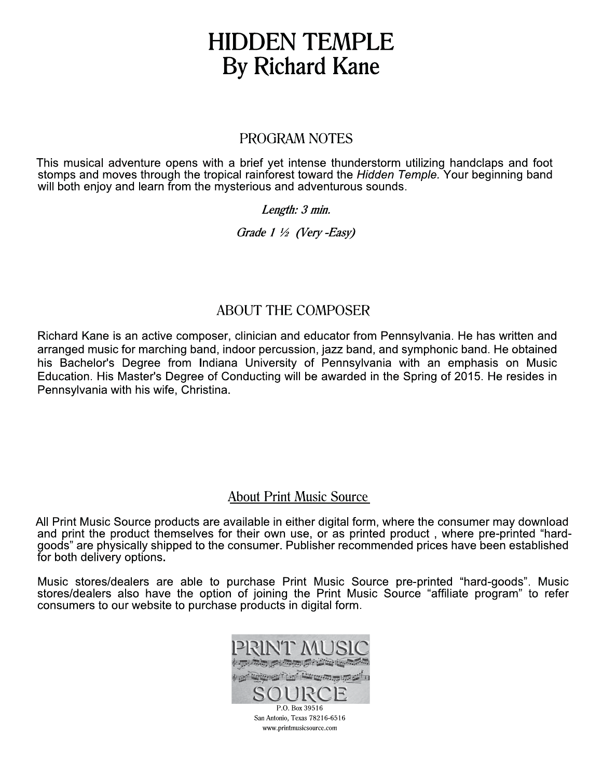### **HIDDEN TEMPLE By Richard Kane**

#### **PROGRAM NOTES**

This musical adventure opens with a brief yet intense thunderstorm utilizing handclaps and foot stomps and moves through the tropical rainforest toward the Hidden Temple. Your beginning band will both enjoy and learn from the mysterious and adventurous sounds.

#### Length: 3 min.

Grade 1 1/2 (Very -Easy)

### **ABOUT THE COMPOSER**

Richard Kane is an active composer, clinician and educator from Pennsylvania. He has written and arranged music for marching band, indoor percussion, jazz band, and symphonic band. He obtained his Bachelor's Degree from Indiana University of Pennsylvania with an emphasis on Music Education. His Master's Degree of Conducting will be awarded in the Spring of 2015. He resides in Pennsylvania with his wife, Christina.

### **About Print Music Source**

All Print Music Source products are available in either digital form, where the consumer may download and print the product themselves for their own use, or as printed product, where pre-printed "hardgoods" are physically shipped to the consumer. Publisher recommended prices have been established for both delivery options

Music stores/dealers are able to purchase Print Music Source pre-printed "hard-goods". Music stores/dealers also have the option of joining the Print Music Source "affiliate program" to refer consumers to our website to purchase products in digital form.



www.printmusicsource.com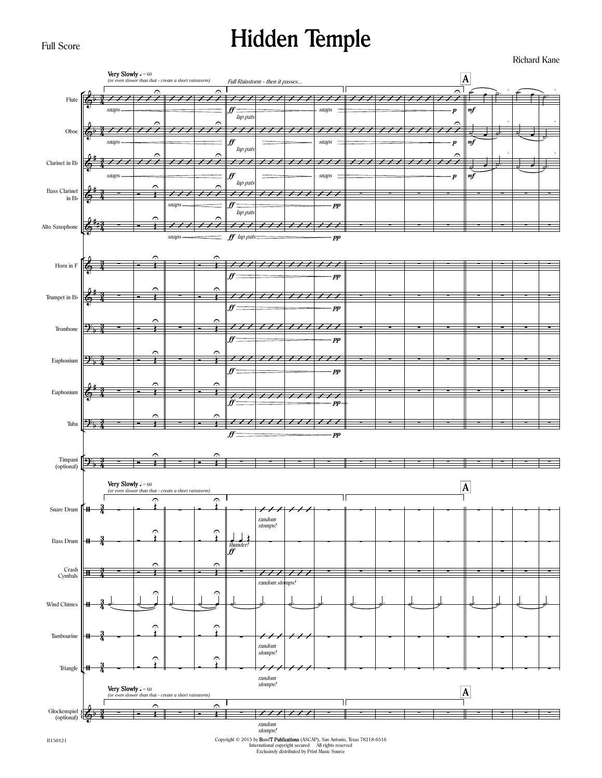Richard Kane

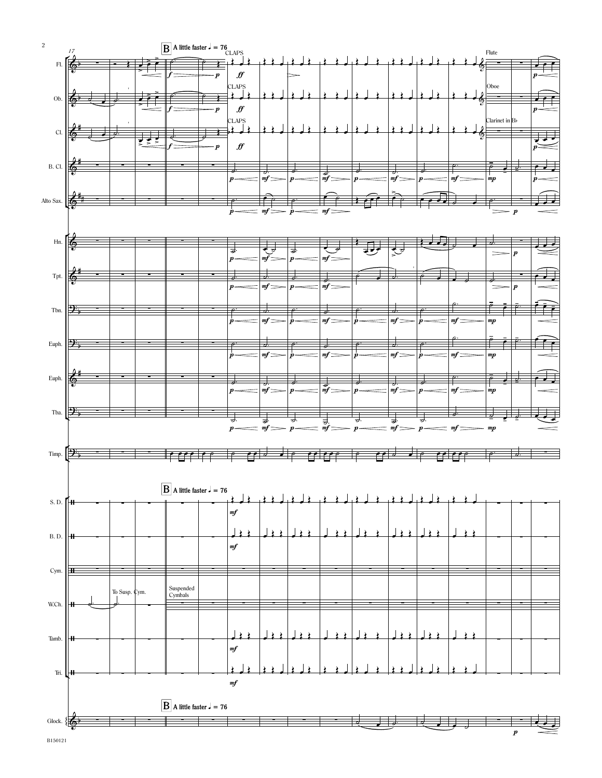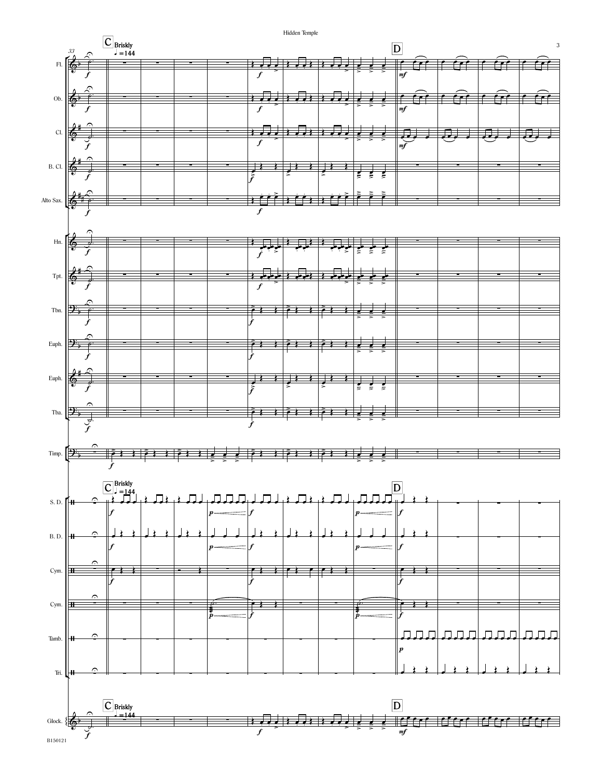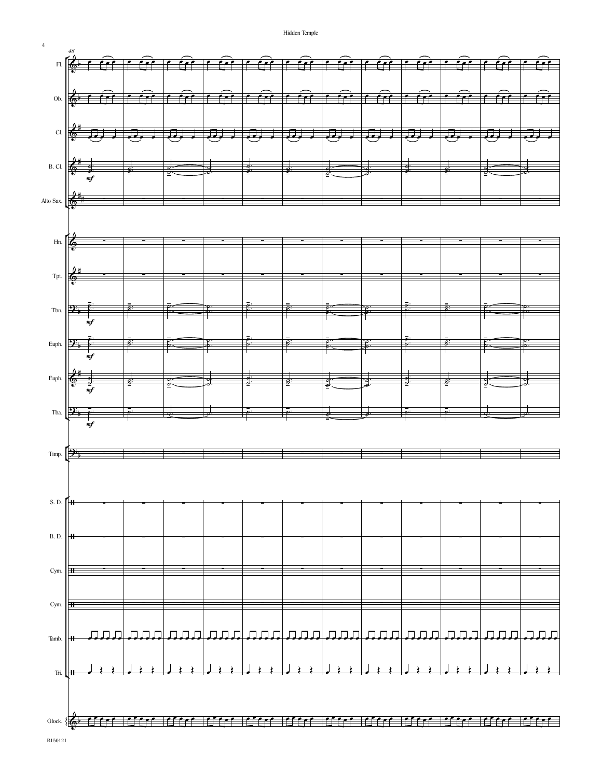

B150121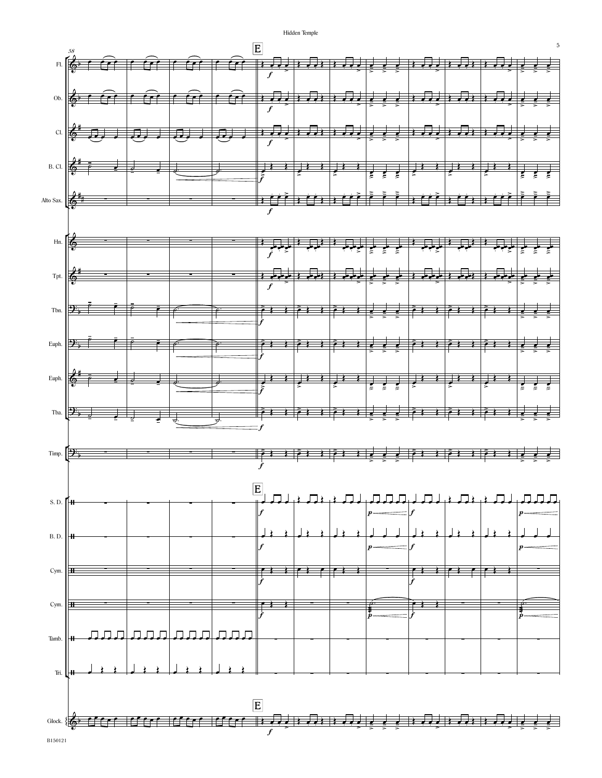

5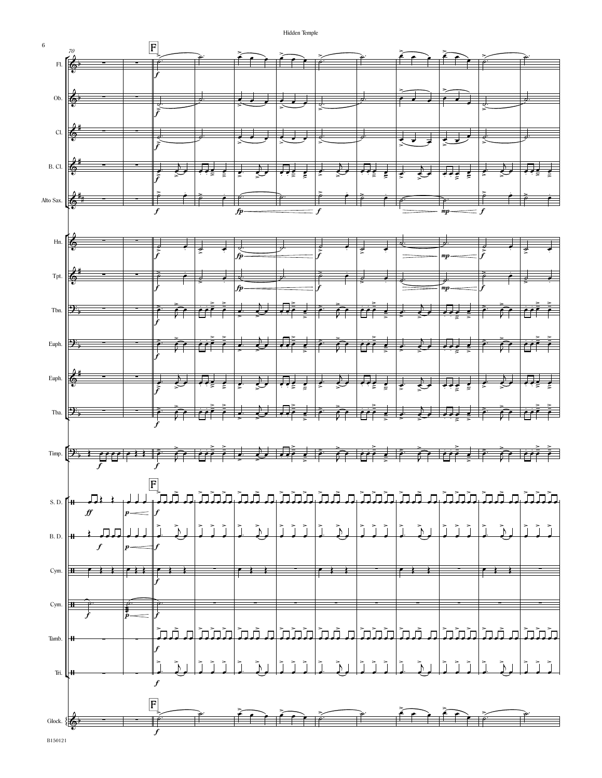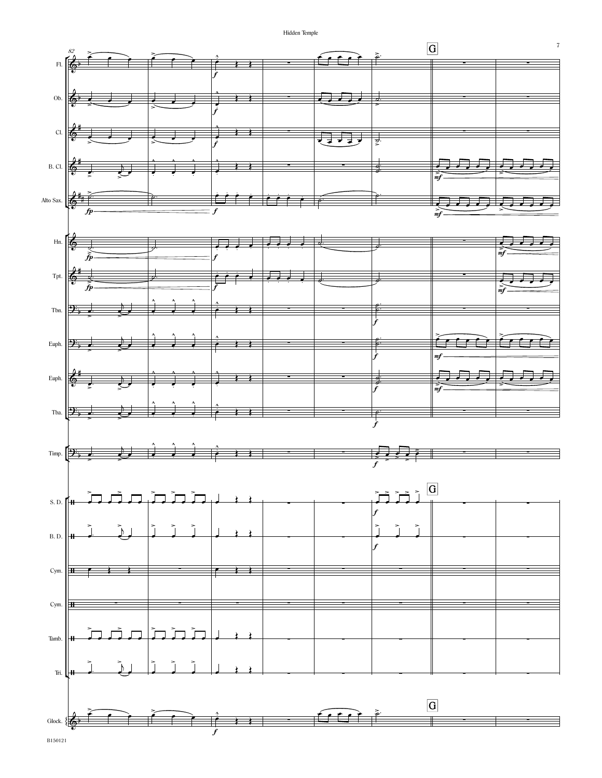

B150121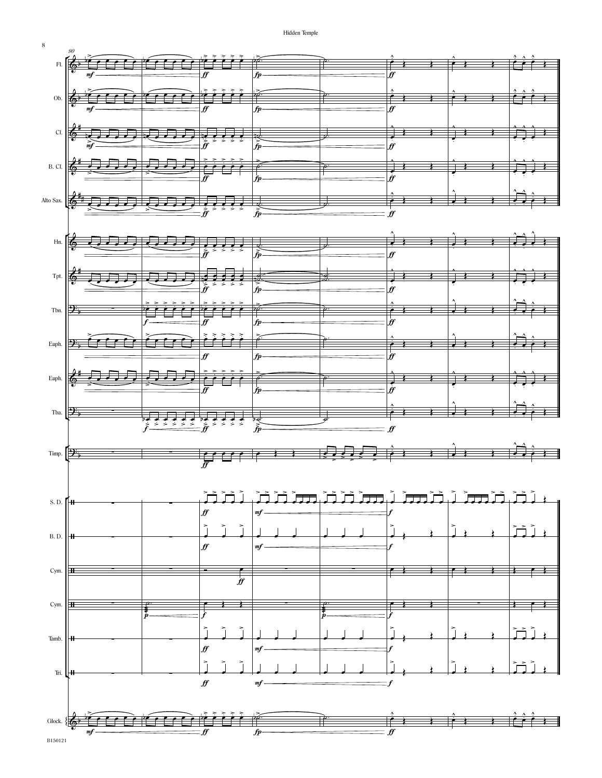

8